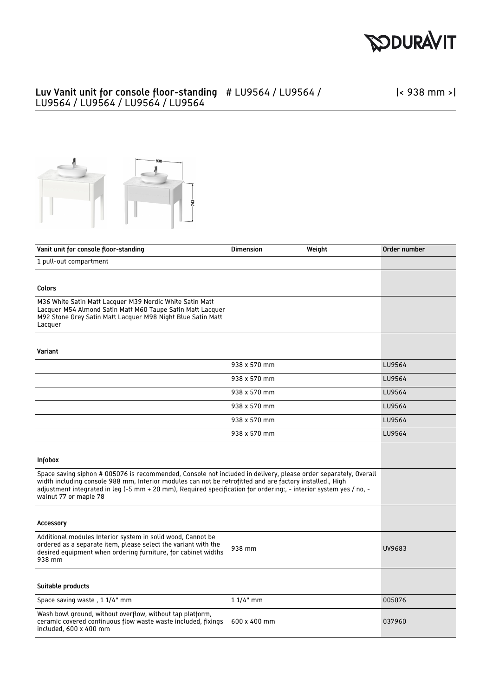

## Luv Vanit unit for console floor-standing # LU9564 / LU9564 / LU9564 / LU9564 / LU9564 / LU9564

|< 938 mm >|



| Vanit unit for console floor-standing                                                                                                                                                                                                                                                                                                                                     | <b>Dimension</b> | Weight | Order number |
|---------------------------------------------------------------------------------------------------------------------------------------------------------------------------------------------------------------------------------------------------------------------------------------------------------------------------------------------------------------------------|------------------|--------|--------------|
| 1 pull-out compartment                                                                                                                                                                                                                                                                                                                                                    |                  |        |              |
|                                                                                                                                                                                                                                                                                                                                                                           |                  |        |              |
| Colors                                                                                                                                                                                                                                                                                                                                                                    |                  |        |              |
| M36 White Satin Matt Lacquer M39 Nordic White Satin Matt<br>Lacquer M54 Almond Satin Matt M60 Taupe Satin Matt Lacquer<br>M92 Stone Grey Satin Matt Lacquer M98 Night Blue Satin Matt<br>Lacquer                                                                                                                                                                          |                  |        |              |
| Variant                                                                                                                                                                                                                                                                                                                                                                   |                  |        |              |
|                                                                                                                                                                                                                                                                                                                                                                           | 938 x 570 mm     |        | LU9564       |
|                                                                                                                                                                                                                                                                                                                                                                           | 938 x 570 mm     |        | LU9564       |
|                                                                                                                                                                                                                                                                                                                                                                           | 938 x 570 mm     |        | LU9564       |
|                                                                                                                                                                                                                                                                                                                                                                           | 938 x 570 mm     |        | LU9564       |
|                                                                                                                                                                                                                                                                                                                                                                           | 938 x 570 mm     |        | LU9564       |
|                                                                                                                                                                                                                                                                                                                                                                           | 938 x 570 mm     |        | LU9564       |
| Infobox                                                                                                                                                                                                                                                                                                                                                                   |                  |        |              |
| Space saving siphon # 005076 is recommended, Console not included in delivery, please order separately, Overall<br>width including console 988 mm, Interior modules can not be retrofitted and are factory installed., High<br>adjustment integrated in leg (-5 mm + 20 mm), Required specification for ordering:, - interior system yes / no, -<br>walnut 77 or maple 78 |                  |        |              |
| <b>Accessory</b>                                                                                                                                                                                                                                                                                                                                                          |                  |        |              |
| Additional modules Interior system in solid wood, Cannot be<br>ordered as a separate item, please select the variant with the<br>desired equipment when ordering furniture, for cabinet widths<br>938 mm                                                                                                                                                                  | 938 mm           |        | UV9683       |
| Suitable products                                                                                                                                                                                                                                                                                                                                                         |                  |        |              |
| Space saving waste, 1 1/4" mm                                                                                                                                                                                                                                                                                                                                             | $11/4"$ mm       |        | 005076       |
| Wash bowl ground, without overflow, without tap platform,<br>ceramic covered continuous flow waste waste included, fixings<br>included, 600 x 400 mm                                                                                                                                                                                                                      | 600 x 400 mm     |        | 037960       |